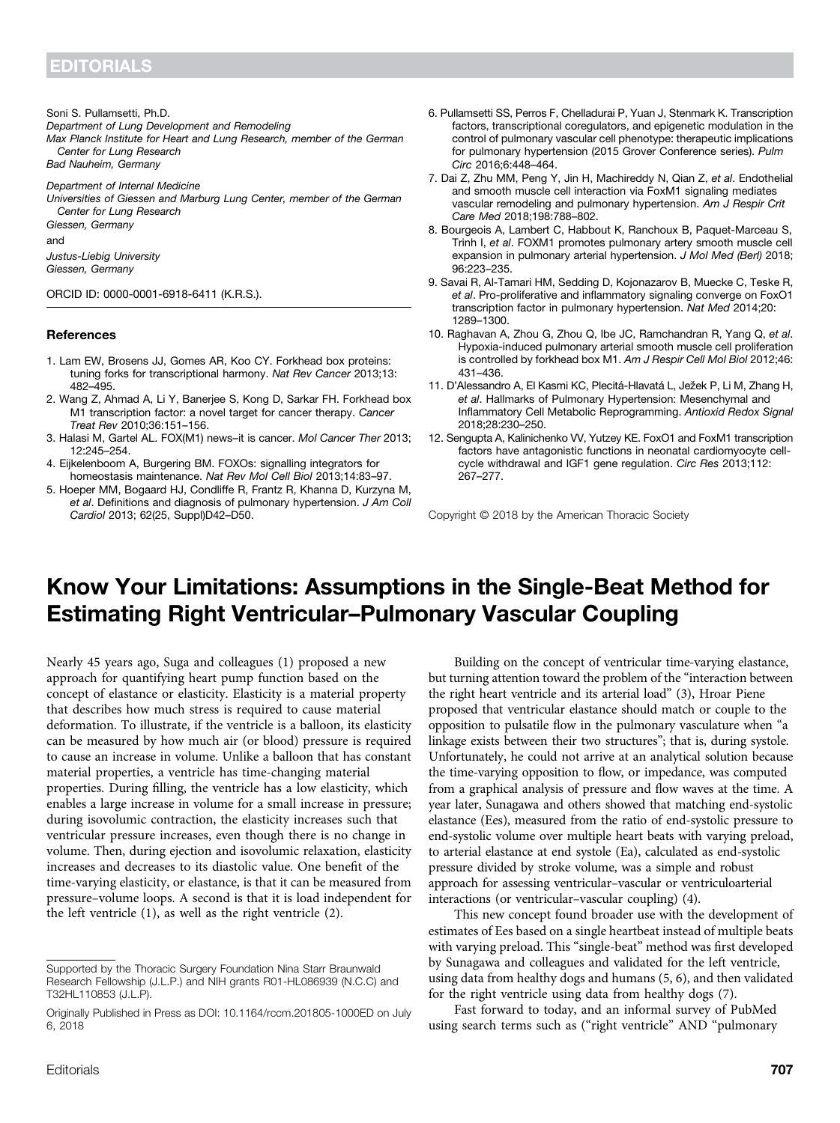Soni S. Pullamsetti, Ph.D.

Department of Lung Development and Remodeling

Max Planck Institute for Heart and Lung Research, member of the German Center for Lung Research

Bad Nauheim, Germany

Department of Internal Medicine

Universities of Giessen and Marburg Lung Center, member of the German Center for Lung Research Giessen, Germany

and

Justus-Liebig University Giessen, Germany

ORCID ID: [0000-0001-6918-6411](http://orcid.org/0000-0001-6918-6411) (K.R.S.).

## **References**

- 1. Lam EW, Brosens JJ, Gomes AR, Koo CY. Forkhead box proteins: tuning forks for transcriptional harmony. Nat Rev Cancer 2013;13: 482–495.
- 2. Wang Z, Ahmad A, Li Y, Banerjee S, Kong D, Sarkar FH. Forkhead box M1 transcription factor: a novel target for cancer therapy. Cancer Treat Rev 2010;36:151–156.
- 3. Halasi M, Gartel AL. FOX(M1) news–it is cancer. Mol Cancer Ther 2013; 12:245–254.
- 4. Eijkelenboom A, Burgering BM. FOXOs: signalling integrators for homeostasis maintenance. Nat Rev Mol Cell Biol 2013;14:83–97.
- 5. Hoeper MM, Bogaard HJ, Condliffe R, Frantz R, Khanna D, Kurzyna M, et al. Definitions and diagnosis of pulmonary hypertension. J Am Coll Cardiol 2013; 62(25, Suppl)D42–D50.
- 6. Pullamsetti SS, Perros F, Chelladurai P, Yuan J, Stenmark K. Transcription factors, transcriptional coregulators, and epigenetic modulation in the control of pulmonary vascular cell phenotype: therapeutic implications for pulmonary hypertension (2015 Grover Conference series). Pulm Circ 2016;6:448–464.
- 7. Dai Z, Zhu MM, Peng Y, Jin H, Machireddy N, Qian Z, et al. Endothelial and smooth muscle cell interaction via FoxM1 signaling mediates vascular remodeling and pulmonary hypertension. Am J Respir Crit Care Med 2018;198:788–802.
- 8. Bourgeois A, Lambert C, Habbout K, Ranchoux B, Paquet-Marceau S, Trinh I, et al. FOXM1 promotes pulmonary artery smooth muscle cell expansion in pulmonary arterial hypertension. J Mol Med (Berl) 2018; 96:223–235.
- 9. Savai R, Al-Tamari HM, Sedding D, Kojonazarov B, Muecke C, Teske R, et al. Pro-proliferative and inflammatory signaling converge on FoxO1 transcription factor in pulmonary hypertension. Nat Med 2014;20: 1289–1300.
- 10. Raghavan A, Zhou G, Zhou Q, Ibe JC, Ramchandran R, Yang Q, et al. Hypoxia-induced pulmonary arterial smooth muscle cell proliferation is controlled by forkhead box M1. Am J Respir Cell Mol Biol 2012;46: 431–436.
- 11. D'Alessandro A, El Kasmi KC, Plecitá-Hlavatá L, Ježek P, Li M, Zhang H, et al. Hallmarks of Pulmonary Hypertension: Mesenchymal and Inflammatory Cell Metabolic Reprogramming. Antioxid Redox Signal 2018;28:230–250.
- 12. Sengupta A, Kalinichenko VV, Yutzey KE. FoxO1 and FoxM1 transcription factors have antagonistic functions in neonatal cardiomyocyte cellcycle withdrawal and IGF1 gene regulation. Circ Res 2013;112: 267–277.

Copyright © 2018 by the American Thoracic Society

## Know Your Limitations: Assumptions in the Single-Beat Method for Estimating Right Ventricular–Pulmonary Vascular Coupling

Nearly 45 years ago, Suga and colleagues (1) proposed a new approach for quantifying heart pump function based on the concept of elastance or elasticity. Elasticity is a material property that describes how much stress is required to cause material deformation. To illustrate, if the ventricle is a balloon, its elasticity can be measured by how much air (or blood) pressure is required to cause an increase in volume. Unlike a balloon that has constant material properties, a ventricle has time-changing material properties. During filling, the ventricle has a low elasticity, which enables a large increase in volume for a small increase in pressure; during isovolumic contraction, the elasticity increases such that ventricular pressure increases, even though there is no change in volume. Then, during ejection and isovolumic relaxation, elasticity increases and decreases to its diastolic value. One benefit of the time-varying elasticity, or elastance, is that it can be measured from pressure–volume loops. A second is that it is load independent for the left ventricle (1), as well as the right ventricle (2).

Building on the concept of ventricular time-varying elastance, but turning attention toward the problem of the "interaction between the right heart ventricle and its arterial load" (3), Hroar Piene proposed that ventricular elastance should match or couple to the opposition to pulsatile flow in the pulmonary vasculature when "a linkage exists between their two structures"; that is, during systole. Unfortunately, he could not arrive at an analytical solution because the time-varying opposition to flow, or impedance, was computed from a graphical analysis of pressure and flow waves at the time. A year later, Sunagawa and others showed that matching end-systolic elastance (Ees), measured from the ratio of end-systolic pressure to end-systolic volume over multiple heart beats with varying preload, to arterial elastance at end systole (Ea), calculated as end-systolic pressure divided by stroke volume, was a simple and robust approach for assessing ventricular–vascular or ventriculoarterial interactions (or ventricular–vascular coupling) (4).

This new concept found broader use with the development of estimates of Ees based on a single heartbeat instead of multiple beats with varying preload. This "single-beat" method was first developed by Sunagawa and colleagues and validated for the left ventricle, using data from healthy dogs and humans (5, 6), and then validated for the right ventricle using data from healthy dogs (7).

Fast forward to today, and an informal survey of PubMed using search terms such as ("right ventricle" AND "pulmonary

Supported by the Thoracic Surgery Foundation Nina Starr Braunwald Research Fellowship (J.L.P.) and NIH grants R01-HL086939 (N.C.C) and T32HL110853 (J.L.P).

Originally Published in Press as DOI: [10.1164/rccm.201805-1000ED](http://dx.doi.org/10.1164/rccm.201805-1000ED) on July 6, 2018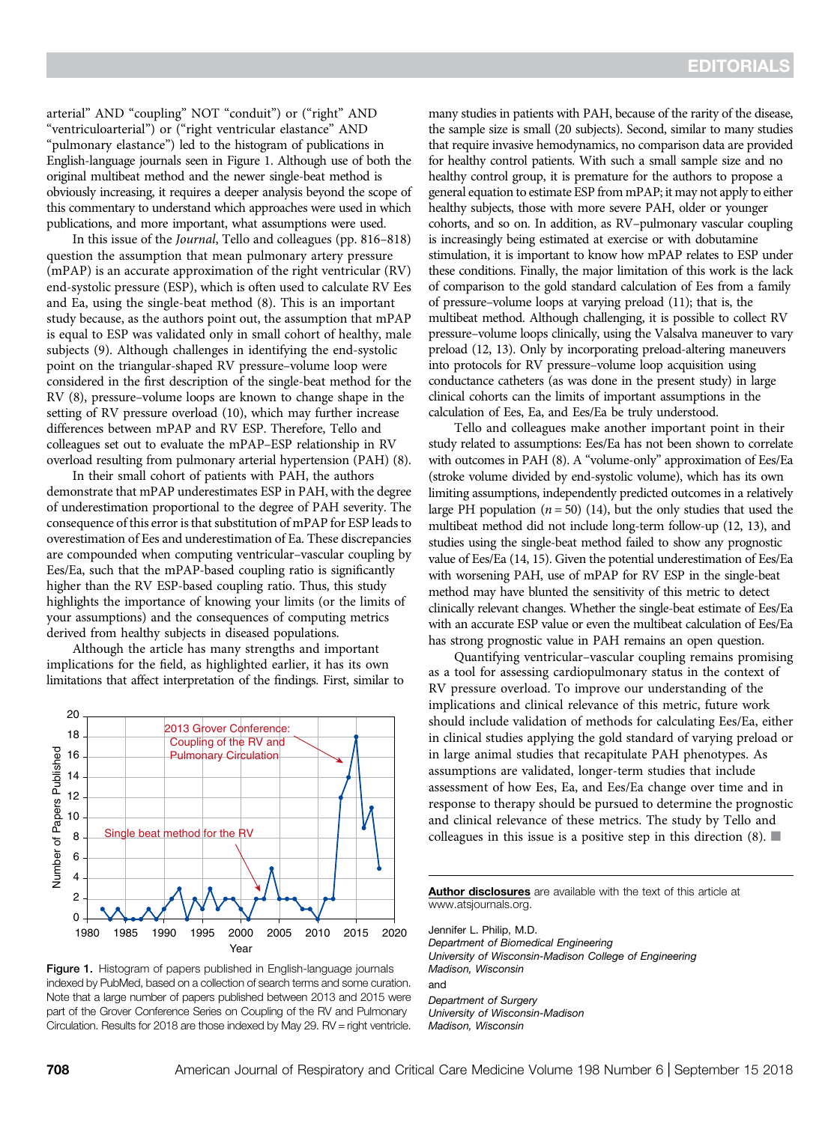arterial" AND "coupling" NOT "conduit") or ("right" AND "ventriculoarterial") or ("right ventricular elastance" AND "pulmonary elastance") led to the histogram of publications in English-language journals seen in Figure 1. Although use of both the original multibeat method and the newer single-beat method is obviously increasing, it requires a deeper analysis beyond the scope of this commentary to understand which approaches were used in which publications, and more important, what assumptions were used.

In this issue of the Journal, Tello and colleagues (pp. 816–818) question the assumption that mean pulmonary artery pressure (mPAP) is an accurate approximation of the right ventricular (RV) end-systolic pressure (ESP), which is often used to calculate RV Ees and Ea, using the single-beat method (8). This is an important study because, as the authors point out, the assumption that mPAP is equal to ESP was validated only in small cohort of healthy, male subjects (9). Although challenges in identifying the end-systolic point on the triangular-shaped RV pressure–volume loop were considered in the first description of the single-beat method for the RV (8), pressure–volume loops are known to change shape in the setting of RV pressure overload (10), which may further increase differences between mPAP and RV ESP. Therefore, Tello and colleagues set out to evaluate the mPAP–ESP relationship in RV overload resulting from pulmonary arterial hypertension (PAH) (8).

In their small cohort of patients with PAH, the authors demonstrate that mPAP underestimates ESP in PAH, with the degree of underestimation proportional to the degree of PAH severity. The consequence of this error is that substitution of mPAP for ESP leads to overestimation of Ees and underestimation of Ea. These discrepancies are compounded when computing ventricular–vascular coupling by Ees/Ea, such that the mPAP-based coupling ratio is significantly higher than the RV ESP-based coupling ratio. Thus, this study highlights the importance of knowing your limits (or the limits of your assumptions) and the consequences of computing metrics derived from healthy subjects in diseased populations.

Although the article has many strengths and important implications for the field, as highlighted earlier, it has its own limitations that affect interpretation of the findings. First, similar to



Figure 1. Histogram of papers published in English-language journals indexed by PubMed, based on a collection of search terms and some curation. Note that a large number of papers published between 2013 and 2015 were part of the Grover Conference Series on Coupling of the RV and Pulmonary Circulation. Results for 2018 are those indexed by May 29. RV = right ventricle.

many studies in patients with PAH, because of the rarity of the disease, the sample size is small (20 subjects). Second, similar to many studies that require invasive hemodynamics, no comparison data are provided for healthy control patients. With such a small sample size and no healthy control group, it is premature for the authors to propose a general equation to estimate ESP from mPAP; it may not apply to either healthy subjects, those with more severe PAH, older or younger cohorts, and so on. In addition, as RV–pulmonary vascular coupling is increasingly being estimated at exercise or with dobutamine stimulation, it is important to know how mPAP relates to ESP under these conditions. Finally, the major limitation of this work is the lack of comparison to the gold standard calculation of Ees from a family of pressure–volume loops at varying preload (11); that is, the multibeat method. Although challenging, it is possible to collect RV pressure–volume loops clinically, using the Valsalva maneuver to vary preload (12, 13). Only by incorporating preload-altering maneuvers into protocols for RV pressure–volume loop acquisition using conductance catheters (as was done in the present study) in large clinical cohorts can the limits of important assumptions in the calculation of Ees, Ea, and Ees/Ea be truly understood.

Tello and colleagues make another important point in their study related to assumptions: Ees/Ea has not been shown to correlate with outcomes in PAH (8). A "volume-only" approximation of Ees/Ea (stroke volume divided by end-systolic volume), which has its own limiting assumptions, independently predicted outcomes in a relatively large PH population ( $n = 50$ ) (14), but the only studies that used the multibeat method did not include long-term follow-up (12, 13), and studies using the single-beat method failed to show any prognostic value of Ees/Ea (14, 15). Given the potential underestimation of Ees/Ea with worsening PAH, use of mPAP for RV ESP in the single-beat method may have blunted the sensitivity of this metric to detect clinically relevant changes. Whether the single-beat estimate of Ees/Ea with an accurate ESP value or even the multibeat calculation of Ees/Ea has strong prognostic value in PAH remains an open question.

Quantifying ventricular–vascular coupling remains promising as a tool for assessing cardiopulmonary status in the context of RV pressure overload. To improve our understanding of the implications and clinical relevance of this metric, future work should include validation of methods for calculating Ees/Ea, either in clinical studies applying the gold standard of varying preload or in large animal studies that recapitulate PAH phenotypes. As assumptions are validated, longer-term studies that include assessment of how Ees, Ea, and Ees/Ea change over time and in response to therapy should be pursued to determine the prognostic and clinical relevance of these metrics. The study by Tello and colleagues in this issue is a positive step in this direction  $(8)$ .

[Author disclosures](http://www.atsjournals.org/doi/suppl/10.1164/rccm.201805-1000ED/suppl_file/disclosures.pdf) are available with the text of this article at [www.atsjournals.org.](http://www.atsjournals.org)

Jennifer L. Philip, M.D. Department of Biomedical Engineering University of Wisconsin-Madison College of Engineering Madison, Wisconsin and

Department of Surgery University of Wisconsin-Madison Madison, Wisconsin